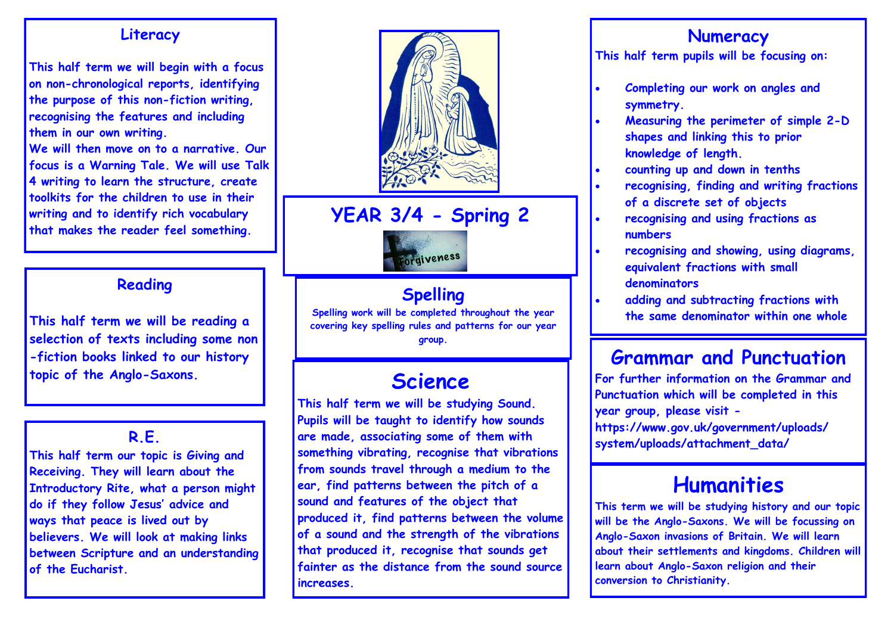### **Literacy**

**This half term we will begin with a focus on non-chronological reports, identifying the purpose of this non-fiction writing, recognising the features and including them in our own writing.** 

**We will then move on to a narrative. Our focus is a Warning Tale. We will use Talk 4 writing to learn the structure, create toolkits for the children to use in their writing and to identify rich vocabulary that makes the reader feel something.**

## **Reading**

**This half term we will be reading a selection of texts including some non -fiction books linked to our history topic of the Anglo-Saxons.** 

## **R.E.**

**This half term our topic is Giving and Receiving. They will learn about the Introductory Rite, what a person might do if they follow Jesus' advice and ways that peace is lived out by believers. We will look at making links between Scripture and an understanding of the Eucharist.**



# **YEAR 3/4 - Spring 2**



## **Spelling**

**Spelling work will be completed throughout the year covering key spelling rules and patterns for our year group.**

# **Science**

**This half term we will be studying Sound. Pupils will be taught to identify how sounds are made, associating some of them with something vibrating, recognise that vibrations from sounds travel through a medium to the ear, find patterns between the pitch of a sound and features of the object that produced it, find patterns between the volume of a sound and the strength of the vibrations that produced it, recognise that sounds get fainter as the distance from the sound source increases.**

## **Numeracy**

**This half term pupils will be focusing on:**

- **Completing our work on angles and symmetry.**
- **Measuring the perimeter of simple 2-D shapes and linking this to prior knowledge of length.**
- **counting up and down in tenths**
- **recognising, finding and writing fractions of a discrete set of objects**
- **recognising and using fractions as numbers**
- **recognising and showing, using diagrams, equivalent fractions with small denominators**
- **adding and subtracting fractions with the same denominator within one whole**

# **Grammar and Punctuation**

**For further information on the Grammar and Punctuation which will be completed in this year group, please visit https://www.gov.uk/government/uploads/ system/uploads/attachment\_data/**

# **Humanities**

**This term we will be studying history and our topic will be the Anglo-Saxons. We will be focussing on Anglo-Saxon invasions of Britain. We will learn about their settlements and kingdoms. Children will learn about Anglo-Saxon religion and their conversion to Christianity.**